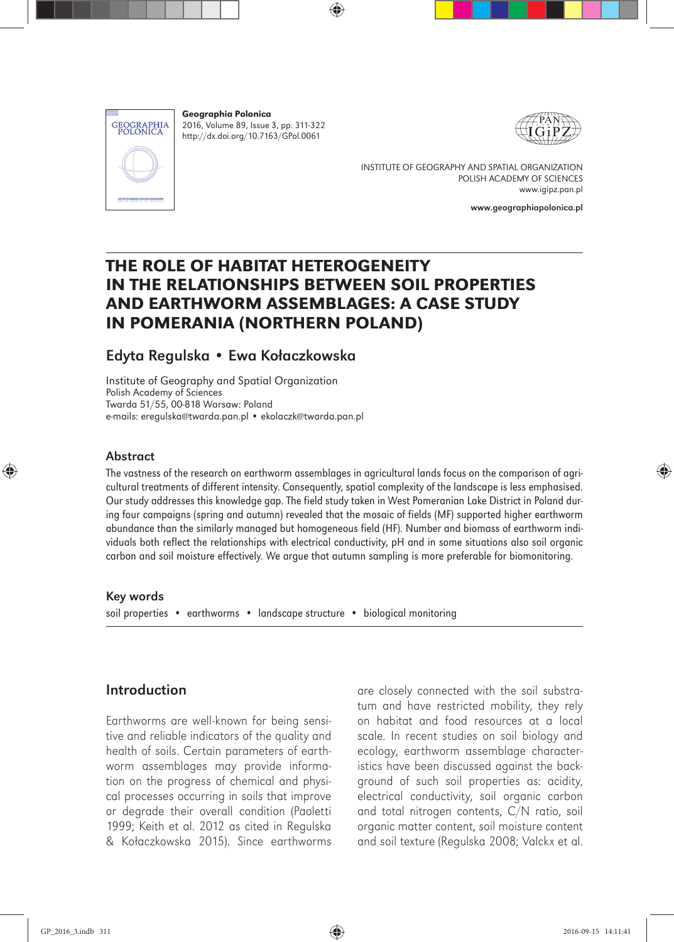

Geographia Polonica 2016, Volume 89, Issue 3, pp. 311-322 http://dx.doi.org/10.7163/GPol.0061



INSTITUTE OF GEOGRAPHY AND SPATIAL ORGANIZATION POLISH ACADEMY OF SCIENCES www.igipz.pan.pl

www.geographiapolonica.pl

# THE ROLE OF HABITAT HETEROGENEITY IN THE RELATIONSHIPS BETWEEN SOIL PROPERTIES AND EARTHWORM ASSEMBLAGES: A CASE STUDY IN POMERANIA (NORTHERN POLAND)

# Edyta Regulska • Ewa Kołaczkowska

Institute of Geography and Spatial Organization Polish Academy of Sciences Twarda 51/55, 00-818 Warsaw: Poland e-mails: eregulska@twarda.pan.pl • ekolaczk@twarda.pan.pl

#### Abstract

The vastness of the research on earthworm assemblages in agricultural lands focus on the comparison of agricultural treatments of different intensity. Consequently, spatial complexity of the landscape is less emphasised. Our study addresses this knowledge gap. The field study taken in West Pomeranian Lake District in Poland during four campaigns (spring and autumn) revealed that the mosaic of fields (MF) supported higher earthworm abundance than the similarly managed but homogeneous field (HF). Number and biomass of earthworm individuals both reflect the relationships with electrical conductivity, pH and in some situations also soil organic carbon and soil moisture effectively. We argue that autumn sampling is more preferable for biomonitoring.

#### Key words

soil properties • earthworms • landscape structure • biological monitoring

# Introduction

Earthworms are well-known for being sensitive and reliable indicators of the quality and health of soils. Certain parameters of earthworm assemblages may provide information on the progress of chemical and physical processes occurring in soils that improve or degrade their overall condition (Paoletti 1999; Keith et al. 2012 as cited in Regulska & Kołaczkowska 2015). Since earthworms are closely connected with the soil substratum and have restricted mobility, they rely on habitat and food resources at a local scale. In recent studies on soil biology and ecology, earthworm assemblage characteristics have been discussed against the background of such soil properties as: acidity, electrical conductivity, soil organic carbon and total nitrogen contents, C/N ratio, soil organic matter content, soil moisture content and soil texture (Regulska 2008; Valckx et al.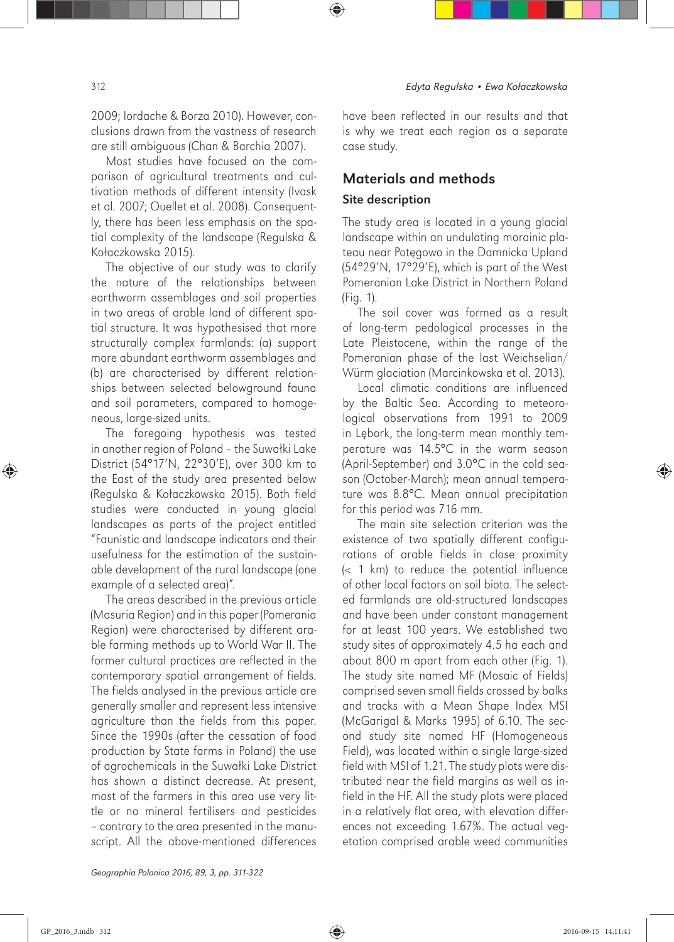2009; Iordache & Borza 2010). However, conclusions drawn from the vastness of research are still ambiguous (Chan & Barchia 2007).

Most studies have focused on the comparison of agricultural treatments and cultivation methods of different intensity (Ivask et al. 2007; Ouellet et al. 2008). Consequently, there has been less emphasis on the spatial complexity of the landscape (Regulska & Kołaczkowska 2015).

The objective of our study was to clarify the nature of the relationships between earthworm assemblages and soil properties in two areas of arable land of different spatial structure. It was hypothesised that more structurally complex farmlands: (a) support more abundant earthworm assemblages and (b) are characterised by different relationships between selected belowground fauna and soil parameters, compared to homogeneous, large-sized units.

The foregoing hypothesis was tested in another region of Poland – the Suwałki Lake District (54°17'N, 22°30'E), over 300 km to the East of the study area presented below (Regulska & Kołaczkowska 2015). Both field studies were conducted in young glacial landscapes as parts of the project entitled "Faunistic and landscape indicators and their usefulness for the estimation of the sustainable development of the rural landscape (one example of a selected area)".

The areas described in the previous article (Masuria Region) and in this paper (Pomerania Region) were characterised by different arable farming methods up to World War II. The former cultural practices are reflected in the contemporary spatial arrangement of fields. The fields analysed in the previous article are generally smaller and represent less intensive agriculture than the fields from this paper. Since the 1990s (after the cessation of food production by State farms in Poland) the use of agrochemicals in the Suwałki Lake District has shown a distinct decrease. At present, most of the farmers in this area use very little or no mineral fertilisers and pesticides – contrary to the area presented in the manuscript. All the above-mentioned differences have been reflected in our results and that is why we treat each region as a separate case study.

# Materials and methods Site description

The study area is located in a young glacial landscape within an undulating morainic plateau near Potęgowo in the Damnicka Upland (54°29'N, 17°29'E), which is part of the West Pomeranian Lake District in Northern Poland (Fig. 1).

The soil cover was formed as a result of long-term pedological processes in the Late Pleistocene, within the range of the Pomeranian phase of the last Weichselian/ Würm glaciation (Marcinkowska et al. 2013).

Local climatic conditions are influenced by the Baltic Sea. According to meteorological observations from 1991 to 2009 in Lębork, the long-term mean monthly temperature was 14.5°C in the warm season (April-September) and 3.0°C in the cold season (October-March); mean annual temperature was 8.8°C. Mean annual precipitation for this period was 716 mm.

The main site selection criterion was the existence of two spatially different configurations of arable fields in close proximity  $( $1 \text{ km}$ )$  to reduce the potential influence of other local factors on soil biota. The selected farmlands are old-structured landscapes and have been under constant management for at least 100 years. We established two study sites of approximately 4.5 ha each and about 800 m apart from each other (Fig. 1). The study site named MF (Mosaic of Fields) comprised seven small fields crossed by balks and tracks with a Mean Shape Index MSI (McGarigal & Marks 1995) of 6.10. The second study site named HF (Homogeneous Field), was located within a single large-sized field with MSI of 1.21. The study plots were distributed near the field margins as well as infield in the HF. All the study plots were placed in a relatively flat area, with elevation differences not exceeding 1.67%. The actual vegetation comprised arable weed communities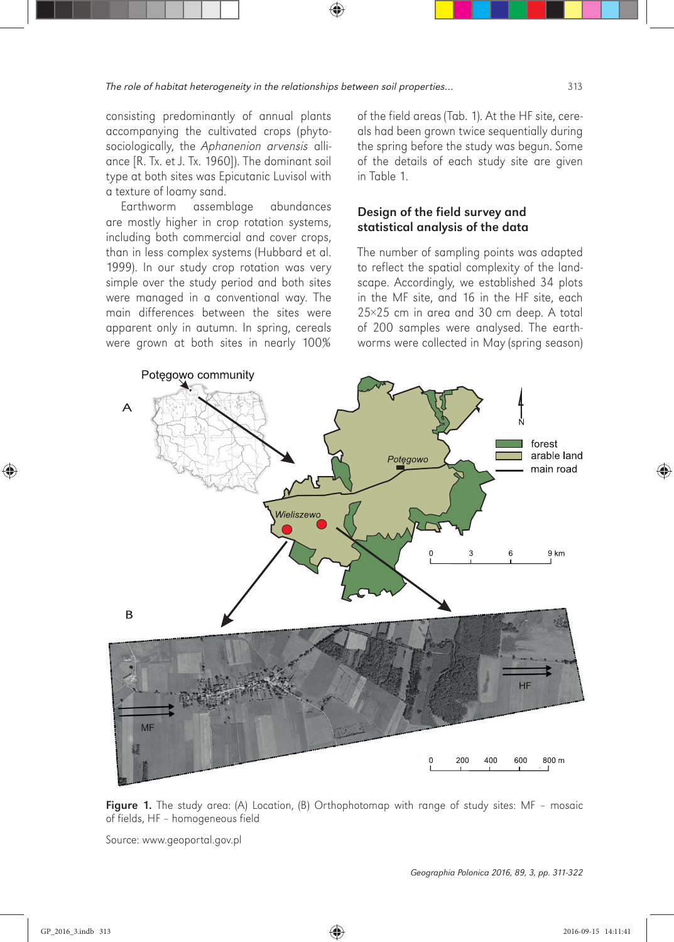consisting predominantly of annual plants accompanying the cultivated crops (phytosociologically, the *Aphanenion arvensis* alliance [R. Tx. et J. Tx. 1960]). The dominant soil type at both sites was Epicutanic Luvisol with a texture of loamy sand.

Earthworm assemblage abundances are mostly higher in crop rotation systems, including both commercial and cover crops, than in less complex systems (Hubbard et al. 1999). In our study crop rotation was very simple over the study period and both sites were managed in a conventional way. The main differences between the sites were apparent only in autumn. In spring, cereals were grown at both sites in nearly 100%

of the field areas (Tab. 1). At the HF site, cereals had been grown twice sequentially during the spring before the study was begun. Some of the details of each study site are given in Table 1.

### Design of the field survey and statistical analysis of the data

The number of sampling points was adapted to reflect the spatial complexity of the landscape. Accordingly, we established 34 plots in the MF site, and 16 in the HF site, each 25×25 cm in area and 30 cm deep. A total of 200 samples were analysed. The earthworms were collected in May (spring season)



Figure 1. The study area: (A) Location, (B) Orthophotomap with range of study sites: MF - mosaic of fields, HF – homogeneous field

Source: www.geoportal.gov.pl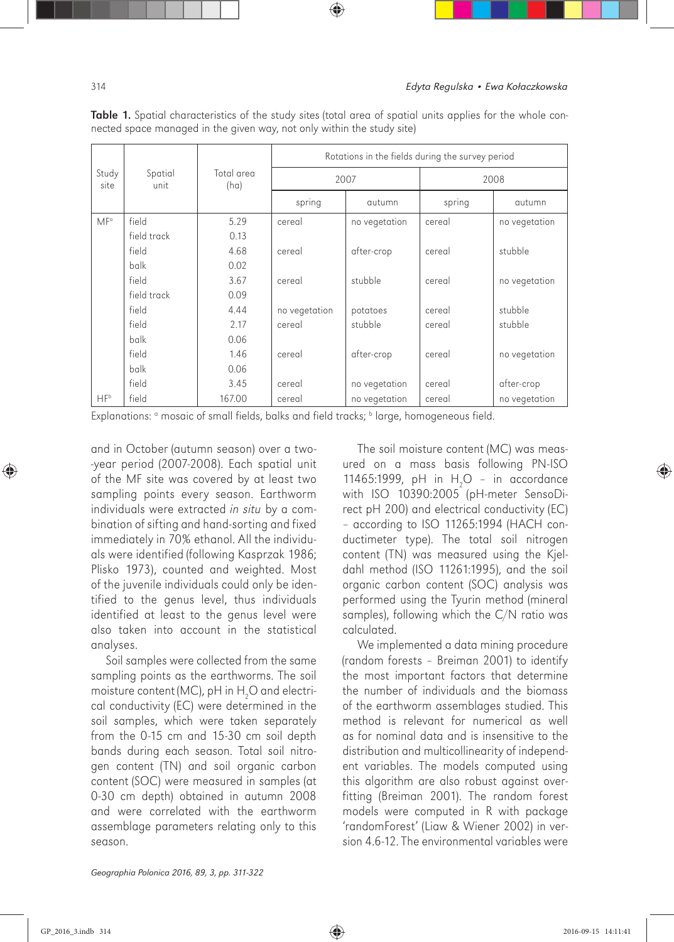|                 |                 |                    | Rotations in the fields during the survey period |               |        |               |  |  |
|-----------------|-----------------|--------------------|--------------------------------------------------|---------------|--------|---------------|--|--|
| Study<br>site   | Spatial<br>unit | Total area<br>(ha) | 2007                                             |               | 2008   |               |  |  |
|                 |                 |                    | spring                                           | autumn        | spring | autumn        |  |  |
| MF <sup>a</sup> | field           | 5.29               | cereal                                           | no vegetation | cereal | no vegetation |  |  |
|                 | field track     | 0.13               |                                                  |               |        |               |  |  |
|                 | field           | 4.68               | cereal                                           | after-crop    | cereal | stubble       |  |  |
|                 | balk            | 0.02               |                                                  |               |        |               |  |  |
|                 | field           | 3.67               | cereal                                           | stubble       | cereal | no vegetation |  |  |
|                 | field track     | 0.09               |                                                  |               |        |               |  |  |
|                 | field           | 4.44               | no vegetation                                    | potatoes      | cereal | stubble       |  |  |
|                 | field           | 2.17               | cereal                                           | stubble       | cereal | stubble       |  |  |
|                 | balk            | 0.06               |                                                  |               |        |               |  |  |
|                 | field           | 1.46               | cereal                                           | after-crop    | cereal | no vegetation |  |  |
|                 | balk            | 0.06               |                                                  |               |        |               |  |  |
|                 | field           | 3.45               | cereal                                           | no vegetation | cereal | after-crop    |  |  |
| $HF^b$          | field           | 167.00             | cereal                                           | no vegetation | cereal | no vegetation |  |  |

Table 1. Spatial characteristics of the study sites (total area of spatial units applies for the whole connected space managed in the given way, not only within the study site)

Explanations: <sup>a</sup> mosaic of small fields, balks and field tracks; <sup>b</sup> large, homogeneous field.

and in October (autumn season) over a two- -year period (2007-2008). Each spatial unit of the MF site was covered by at least two sampling points every season. Earthworm individuals were extracted *in situ* by a combination of sifting and hand-sorting and fixed immediately in 70% ethanol. All the individuals were identified (following Kasprzak 1986; Plisko 1973), counted and weighted. Most of the juvenile individuals could only be identified to the genus level, thus individuals identified at least to the genus level were also taken into account in the statistical analyses.

Soil samples were collected from the same sampling points as the earthworms. The soil moisture content (MC), pH in  $\mathsf{H}_2\mathsf{O}$  and electrical conductivity (EC) were determined in the soil samples, which were taken separately from the 0-15 cm and 15-30 cm soil depth bands during each season. Total soil nitrogen content (TN) and soil organic carbon content (SOC) were measured in samples (at 0-30 cm depth) obtained in autumn 2008 and were correlated with the earthworm assemblage parameters relating only to this season.

The soil moisture content (MC) was measured on a mass basis following PN-ISO 11465:1999, pH in  $H_2O - in$  accordance with ISO 10390:2005 (pH-meter SensoDirect pH 200) and electrical conductivity (EC) – according to ISO 11265:1994 (HACH conductimeter type). The total soil nitrogen content (TN) was measured using the Kjeldahl method (ISO 11261:1995), and the soil organic carbon content (SOC) analysis was performed using the Tyurin method (mineral samples), following which the C/N ratio was calculated.

We implemented a data mining procedure (random forests – Breiman 2001) to identify the most important factors that determine the number of individuals and the biomass of the earthworm assemblages studied. This method is relevant for numerical as well as for nominal data and is insensitive to the distribution and multicollinearity of independent variables. The models computed using this algorithm are also robust against overfitting (Breiman 2001). The random forest models were computed in R with package 'randomForest' (Liaw & Wiener 2002) in version 4.6-12. The environmental variables were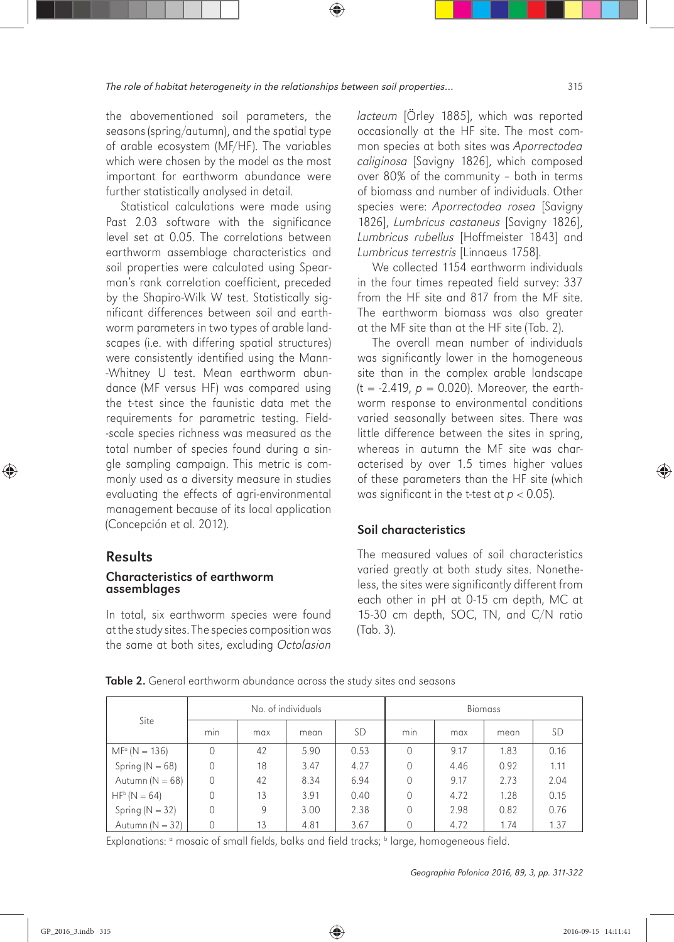the abovementioned soil parameters, the seasons (spring/autumn), and the spatial type of arable ecosystem (MF/HF). The variables which were chosen by the model as the most important for earthworm abundance were further statistically analysed in detail.

Statistical calculations were made using Past 2.03 software with the significance level set at 0.05. The correlations between earthworm assemblage characteristics and soil properties were calculated using Spearman's rank correlation coefficient, preceded by the Shapiro-Wilk W test. Statistically significant differences between soil and earthworm parameters in two types of arable landscapes (i.e. with differing spatial structures) were consistently identified using the Mann- -Whitney U test. Mean earthworm abundance (MF versus HF) was compared using the t-test since the faunistic data met the requirements for parametric testing. Field- -scale species richness was measured as the total number of species found during a single sampling campaign. This metric is commonly used as a diversity measure in studies evaluating the effects of agri-environmental management because of its local application (Concepción et al. 2012).

### Results

#### Characteristics of earthworm assemblages

In total, six earthworm species were found at the study sites. The species composition was the same at both sites, excluding *Octolasion*  *lacteum* [Örley 1885], which was reported occasionally at the HF site. The most common species at both sites was *Aporrectodea caliginosa* [Savigny 1826], which composed over 80% of the community – both in terms of biomass and number of individuals. Other species were: *Aporrectodea rosea* [Savigny 1826], *Lumbricus castaneus* [Savigny 1826], *Lumbricus rubellus* [Hoffmeister 1843] and *Lumbricus terrestris* [Linnaeus 1758].

We collected 1154 earthworm individuals in the four times repeated field survey: 337 from the HF site and 817 from the MF site. The earthworm biomass was also greater at the MF site than at the HF site (Tab. 2).

The overall mean number of individuals was significantly lower in the homogeneous site than in the complex arable landscape  $(t = -2.419, p = 0.020)$ . Moreover, the earthworm response to environmental conditions varied seasonally between sites. There was little difference between the sites in spring, whereas in autumn the MF site was characterised by over 1.5 times higher values of these parameters than the HF site (which was significant in the t-test at  $p < 0.05$ ).

#### Soil characteristics

The measured values of soil characteristics varied greatly at both study sites. Nonetheless, the sites were significantly different from each other in pH at 0-15 cm depth, MC at 15-30 cm depth, SOC, TN, and C/N ratio (Tab. 3).

|                        |          |     | No. of individuals |      | <b>Biomass</b> |      |      |           |
|------------------------|----------|-----|--------------------|------|----------------|------|------|-----------|
| Site                   | min      | max | mean               | SD   | min            | max  | mean | <b>SD</b> |
| $MF^{\circ} (N = 136)$ |          | 42  | 5.90               | 0.53 | $\Omega$       | 9.17 | 1.83 | 0.16      |
| Spring ( $N = 68$ )    | 0        | 18  | 3.47               | 4.27 | $\Omega$       | 4.46 | 0.92 | 1.11      |
| Autumn $(N = 68)$      | $\Omega$ | 42  | 8.34               | 6.94 | $\Omega$       | 9.17 | 2.73 | 2.04      |
| $HF^b(N = 64)$         | $\Omega$ | 13  | 3.91               | 0.40 | $\Omega$       | 4.72 | 1.28 | 0.15      |
| Spring ( $N = 32$ )    | $\Omega$ | 9   | 3.00               | 2.38 | $\Omega$       | 2.98 | 0.82 | 0.76      |
| Autumn $(N = 32)$      |          | 13  | 4.81               | 3.67 |                | 4.72 | 1.74 | 1.37      |

Table 2. General earthworm abundance across the study sites and seasons

Explanations: <sup>a</sup> mosaic of small fields, balks and field tracks; <sup>b</sup> large, homogeneous field.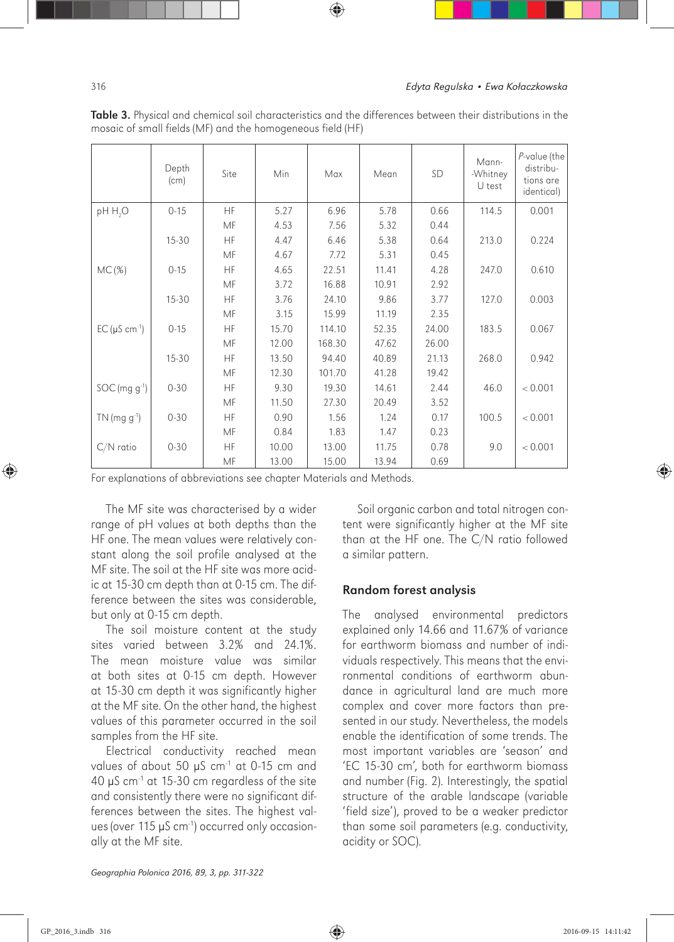|                             | Depth<br>(cm) | Site | Min   | Max    | Mean  | SD    | Mann-<br>-Whitney<br>U test | P-value (the<br>distribu-<br>tions are<br><i>identical</i> ) |
|-----------------------------|---------------|------|-------|--------|-------|-------|-----------------------------|--------------------------------------------------------------|
| pH H <sub>2</sub> O         | $0 - 15$      | HF   | 5.27  | 6.96   | 5.78  | 0.66  | 114.5                       | 0.001                                                        |
|                             |               | MF   | 4.53  | 7.56   | 5.32  | 0.44  |                             |                                                              |
|                             | $15 - 30$     | HF   | 4.47  | 6.46   | 5.38  | 0.64  | 213.0                       | 0.224                                                        |
|                             |               | MF   | 4.67  | 7.72   | 5.31  | 0.45  |                             |                                                              |
| MC(%)                       | $0 - 15$      | HF   | 4.65  | 22.51  | 11.41 | 4.28  | 247.0                       | 0.610                                                        |
|                             |               | MF   | 3.72  | 16.88  | 10.91 | 2.92  |                             |                                                              |
|                             | $15 - 30$     | HF   | 3.76  | 24.10  | 9.86  | 3.77  | 127.0                       | 0.003                                                        |
|                             |               | MF   | 3.15  | 15.99  | 11.19 | 2.35  |                             |                                                              |
| $EC(\mu S \text{ cm}^{-1})$ | $0 - 15$      | HF   | 15.70 | 114.10 | 52.35 | 24.00 | 183.5                       | 0.067                                                        |
|                             |               | MF   | 12.00 | 168.30 | 47.62 | 26.00 |                             |                                                              |
|                             | $15 - 30$     | HF   | 13.50 | 94.40  | 40.89 | 21.13 | 268.0                       | 0.942                                                        |
|                             |               | MF   | 12.30 | 101.70 | 41.28 | 19.42 |                             |                                                              |
| SOC (mg g <sup>-1</sup> )   | $0 - 30$      | HF   | 9.30  | 19.30  | 14.61 | 2.44  | 46.0                        | < 0.001                                                      |
|                             |               | MF   | 11.50 | 27.30  | 20.49 | 3.52  |                             |                                                              |
| $TN$ (mg g <sup>-1</sup> )  | $0 - 30$      | HF   | 0.90  | 1.56   | 1.24  | 0.17  | 100.5                       | < 0.001                                                      |
|                             |               | MF   | 0.84  | 1.83   | 1.47  | 0.23  |                             |                                                              |
| $C/N$ ratio                 | $0 - 30$      | HF   | 10.00 | 13.00  | 11.75 | 0.78  | 9.0                         | < 0.001                                                      |
|                             |               | MF   | 13.00 | 15.00  | 13.94 | 0.69  |                             |                                                              |

Table 3. Physical and chemical soil characteristics and the differences between their distributions in the mosaic of small fields (MF) and the homogeneous field (HF)

For explanations of abbreviations see chapter Materials and Methods.

The MF site was characterised by a wider range of pH values at both depths than the HF one. The mean values were relatively constant along the soil profile analysed at the MF site. The soil at the HF site was more acidic at 15-30 cm depth than at 0-15 cm. The difference between the sites was considerable, but only at 0-15 cm depth.

The soil moisture content at the study sites varied between 3.2% and 24.1%. The mean moisture value was similar at both sites at 0-15 cm depth. However at 15-30 cm depth it was significantly higher at the MF site. On the other hand, the highest values of this parameter occurred in the soil samples from the HF site.

Electrical conductivity reached mean values of about 50 μS cm-1 at 0-15 cm and 40 μS cm-1 at 15-30 cm regardless of the site and consistently there were no significant differences between the sites. The highest values (over 115 μS cm<sup>-1</sup>) occurred only occasionally at the MF site.

Soil organic carbon and total nitrogen content were significantly higher at the MF site than at the HF one. The C/N ratio followed a similar pattern.

#### Random forest analysis

The analysed environmental predictors explained only 14.66 and 11.67% of variance for earthworm biomass and number of individuals respectively. This means that the environmental conditions of earthworm abundance in agricultural land are much more complex and cover more factors than presented in our study. Nevertheless, the models enable the identification of some trends. The most important variables are 'season' and 'EC 15-30 cm', both for earthworm biomass and number (Fig. 2). Interestingly, the spatial structure of the arable landscape (variable 'field size'), proved to be a weaker predictor than some soil parameters (e.g. conductivity, acidity or SOC).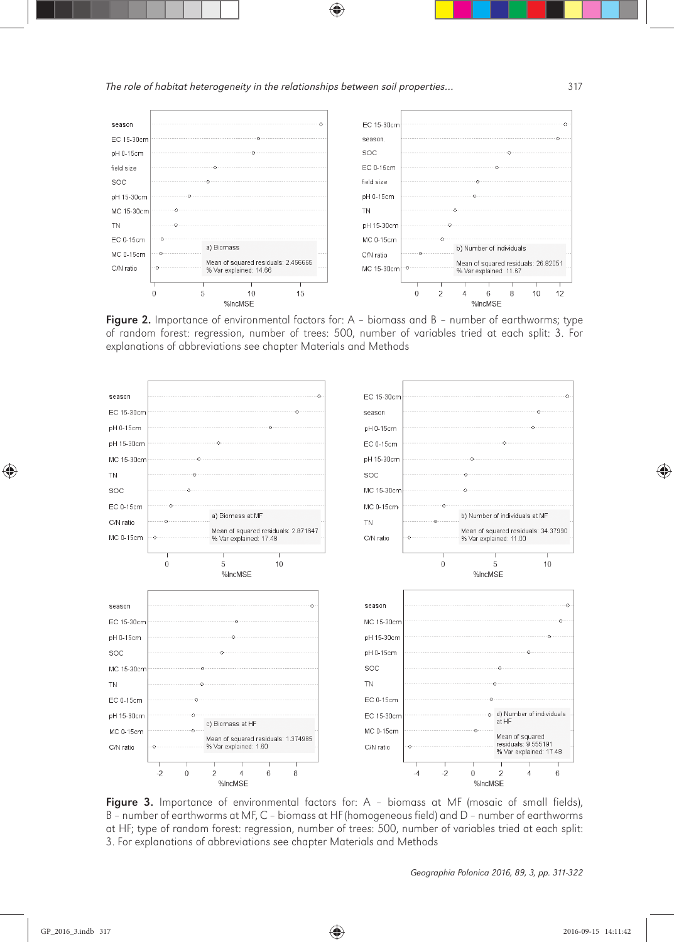

Figure 2. Importance of environmental factors for: A - biomass and B - number of earthworms; type of random forest: regression, number of trees: 500, number of variables tried at each split: 3. For explanations of abbreviations see chapter Materials and Methods



Figure 3. Importance of environmental factors for: A - biomass at MF (mosaic of small fields), B – number of earthworms at MF, C – biomass at HF (homogeneous field) and D – number of earthworms at HF; type of random forest: regression, number of trees: 500, number of variables tried at each split: 3. For explanations of abbreviations see chapter Materials and Methods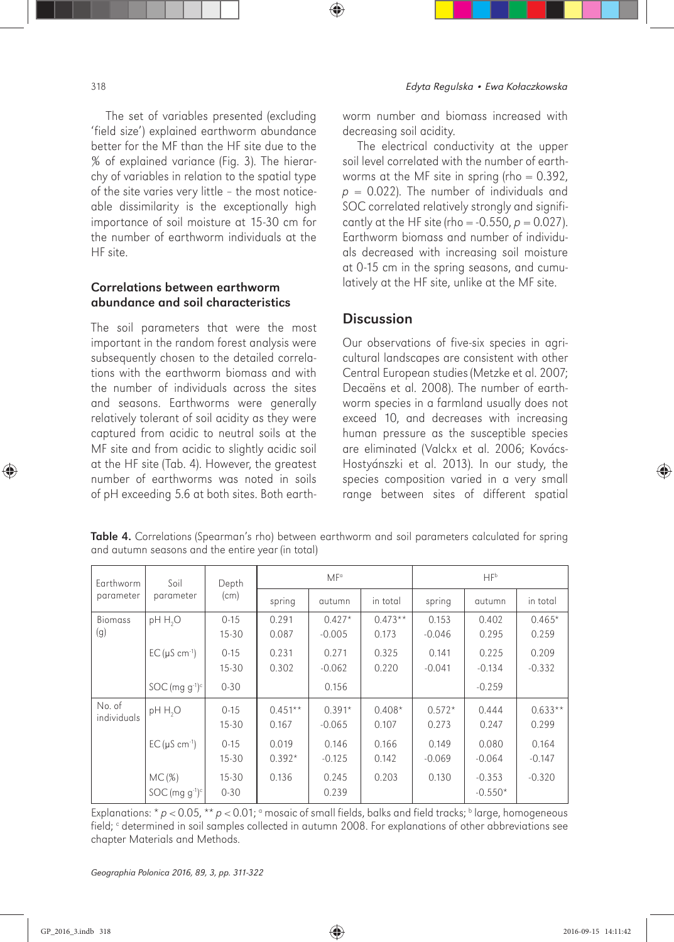HF site.

The set of variables presented (excluding 'field size') explained earthworm abundance better for the MF than the HF site due to the % of explained variance (Fig. 3). The hierarchy of variables in relation to the spatial type of the site varies very little – the most noticeable dissimilarity is the exceptionally high importance of soil moisture at 15-30 cm for the number of earthworm individuals at the

### Correlations between earthworm abundance and soil characteristics

The soil parameters that were the most important in the random forest analysis were subsequently chosen to the detailed correlations with the earthworm biomass and with the number of individuals across the sites and seasons. Earthworms were generally relatively tolerant of soil acidity as they were captured from acidic to neutral soils at the MF site and from acidic to slightly acidic soil at the HF site (Tab. 4). However, the greatest number of earthworms was noted in soils of pH exceeding 5.6 at both sites. Both earthworm number and biomass increased with decreasing soil acidity.

The electrical conductivity at the upper soil level correlated with the number of earthworms at the MF site in spring (rho  $= 0.392$ ,  $p = 0.022$ ). The number of individuals and SOC correlated relatively strongly and significantly at the HF site (rho =  $-0.550$ ,  $p = 0.027$ ). Earthworm biomass and number of individuals decreased with increasing soil moisture at 0-15 cm in the spring seasons, and cumulatively at the HF site, unlike at the MF site.

# **Discussion**

Our observations of five-six species in agricultural landscapes are consistent with other Central European studies (Metzke et al. 2007; Decaëns et al. 2008). The number of earthworm species in a farmland usually does not exceed 10, and decreases with increasing human pressure as the susceptible species are eliminated (Valckx et al. 2006; Kovács-Hostyánszki et al. 2013). In our study, the species composition varied in a very small range between sites of different spatial

| Earthworm             | Soil<br>parameter                        | Depth<br>(cm)         | MF <sup>o</sup>    |                      |                    | HFb               |                       |                    |
|-----------------------|------------------------------------------|-----------------------|--------------------|----------------------|--------------------|-------------------|-----------------------|--------------------|
| parameter             |                                          |                       | spring             | autumn               | in total           | spring            | autumn                | in total           |
| <b>Biomass</b><br>(g) | pH H <sub>2</sub> O                      | $0 - 15$<br>$15 - 30$ | 0.291<br>0.087     | $0.427*$<br>$-0.005$ | $0.473**$<br>0.173 | 0.153<br>$-0.046$ | 0.402<br>0.295        | $0.465*$<br>0.259  |
|                       | $EC(\mu S \text{ cm}^{-1})$              | $0 - 15$<br>$15 - 30$ | 0.231<br>0.302     | 0.271<br>$-0.062$    | 0.325<br>0.220     | 0.141<br>$-0.041$ | 0.225<br>$-0.134$     | 0.209<br>$-0.332$  |
|                       | $SOC$ (mg g <sup>-1</sup> ) <sup>c</sup> | $0 - 30$              |                    | 0.156                |                    |                   | $-0.259$              |                    |
| No. of<br>individuals | pH H <sub>2</sub> O                      | $0 - 15$<br>$15 - 30$ | $0.451**$<br>0.167 | $0.391*$<br>$-0.065$ | $0.408*$<br>0.107  | $0.572*$<br>0.273 | 0.444<br>0.247        | $0.633**$<br>0.299 |
|                       | $EC(\mu S \text{ cm}^{-1})$              | $0 - 15$<br>$15 - 30$ | 0.019<br>$0.392*$  | 0.146<br>$-0.125$    | 0.166<br>0.142     | 0.149<br>$-0.069$ | 0.080<br>$-0.064$     | 0.164<br>$-0.147$  |
|                       | MC(%)<br>$SOC$ (mg g <sup>-1)c</sup>     | $15 - 30$<br>$0 - 30$ | 0.136              | 0.245<br>0.239       | 0.203              | 0.130             | $-0.353$<br>$-0.550*$ | $-0.320$           |

Table 4. Correlations (Spearman's rho) between earthworm and soil parameters calculated for spring and autumn seasons and the entire year (in total)

Explanations: \*  $p < 0.05$ , \*\*  $p < 0.01$ ;  $\circ$  mosaic of small fields, balks and field tracks;  $\circ$  large, homogeneous field; <sup>c</sup> determined in soil samples collected in autumn 2008. For explanations of other abbreviations see chapter Materials and Methods.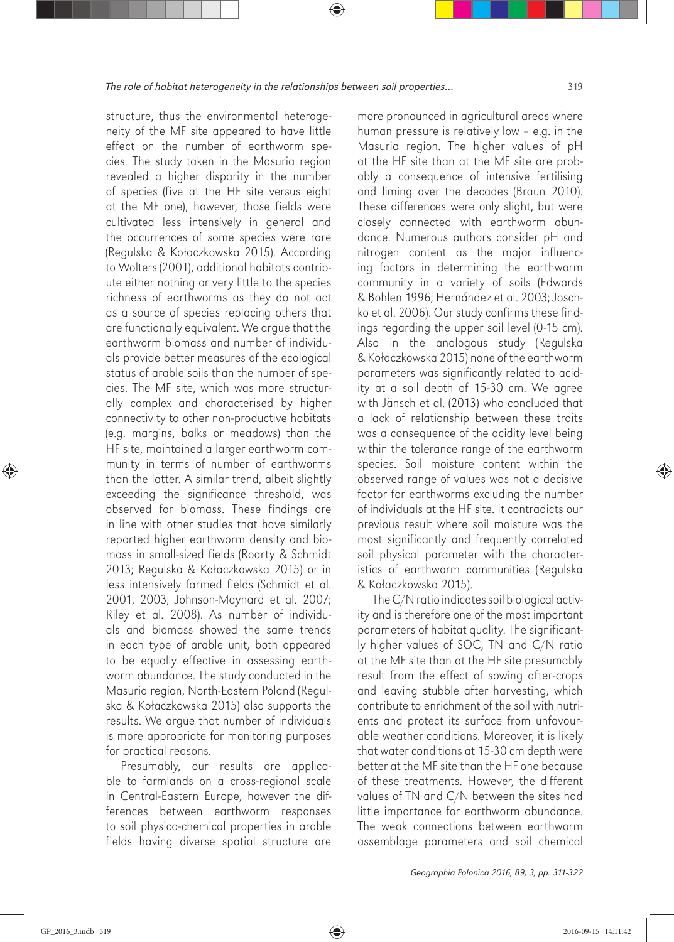structure, thus the environmental heterogeneity of the MF site appeared to have little effect on the number of earthworm species. The study taken in the Masuria region revealed a higher disparity in the number of species (five at the HF site versus eight at the MF one), however, those fields were cultivated less intensively in general and the occurrences of some species were rare (Regulska & Kołaczkowska 2015). According to Wolters (2001), additional habitats contribute either nothing or very little to the species richness of earthworms as they do not act as a source of species replacing others that are functionally equivalent. We argue that the earthworm biomass and number of individuals provide better measures of the ecological status of arable soils than the number of species. The MF site, which was more structurally complex and characterised by higher connectivity to other non-productive habitats (e.g. margins, balks or meadows) than the HF site, maintained a larger earthworm community in terms of number of earthworms than the latter. A similar trend, albeit slightly exceeding the significance threshold, was observed for biomass. These findings are in line with other studies that have similarly reported higher earthworm density and biomass in small-sized fields (Roarty & Schmidt 2013; Regulska & Kołaczkowska 2015) or in less intensively farmed fields (Schmidt et al. 2001, 2003; Johnson-Maynard et al. 2007; Riley et al. 2008). As number of individuals and biomass showed the same trends in each type of arable unit, both appeared to be equally effective in assessing earthworm abundance. The study conducted in the Masuria region, North-Eastern Poland (Regulska & Kołaczkowska 2015) also supports the results. We argue that number of individuals is more appropriate for monitoring purposes for practical reasons.

Presumably, our results are applicable to farmlands on a cross-regional scale in Central-Eastern Europe, however the differences between earthworm responses to soil physico-chemical properties in arable fields having diverse spatial structure are

more pronounced in agricultural areas where human pressure is relatively low – e.g. in the Masuria region. The higher values of pH at the HF site than at the MF site are probably a consequence of intensive fertilising and liming over the decades (Braun 2010). These differences were only slight, but were closely connected with earthworm abundance. Numerous authors consider pH and nitrogen content as the major influencing factors in determining the earthworm community in a variety of soils (Edwards & Bohlen 1996; Hernández et al. 2003; Joschko et al. 2006). Our study confirms these findings regarding the upper soil level (0-15 cm). Also in the analogous study (Regulska & Kołaczkowska 2015) none of the earthworm parameters was significantly related to acidity at a soil depth of 15-30 cm. We agree with Jänsch et al. (2013) who concluded that a lack of relationship between these traits was a consequence of the acidity level being within the tolerance range of the earthworm species. Soil moisture content within the observed range of values was not a decisive factor for earthworms excluding the number of individuals at the HF site. It contradicts our previous result where soil moisture was the most significantly and frequently correlated soil physical parameter with the characteristics of earthworm communities (Regulska & Kołaczkowska 2015).

The C/N ratio indicates soil biological activity and is therefore one of the most important parameters of habitat quality. The significantly higher values of SOC, TN and C/N ratio at the MF site than at the HF site presumably result from the effect of sowing after-crops and leaving stubble after harvesting, which contribute to enrichment of the soil with nutrients and protect its surface from unfavourable weather conditions. Moreover, it is likely that water conditions at 15-30 cm depth were better at the MF site than the HF one because of these treatments. However, the different values of TN and C/N between the sites had little importance for earthworm abundance. The weak connections between earthworm assemblage parameters and soil chemical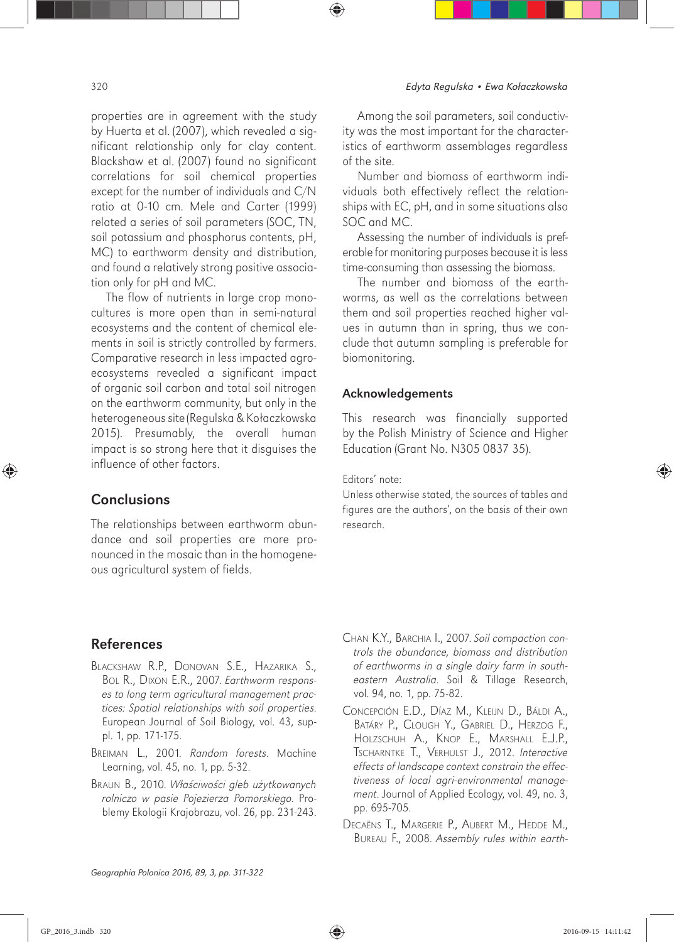properties are in agreement with the study by Huerta et al. (2007), which revealed a significant relationship only for clay content. Blackshaw et al. (2007) found no significant correlations for soil chemical properties except for the number of individuals and C/N ratio at 0-10 cm. Mele and Carter (1999) related a series of soil parameters (SOC, TN, soil potassium and phosphorus contents, pH, MC) to earthworm density and distribution, and found a relatively strong positive association only for pH and MC.

The flow of nutrients in large crop monocultures is more open than in semi-natural ecosystems and the content of chemical elements in soil is strictly controlled by farmers. Comparative research in less impacted agroecosystems revealed a significant impact of organic soil carbon and total soil nitrogen on the earthworm community, but only in the heterogeneous site (Regulska & Kołaczkowska 2015). Presumably, the overall human impact is so strong here that it disguises the influence of other factors.

## **Conclusions**

The relationships between earthworm abundance and soil properties are more pronounced in the mosaic than in the homogeneous agricultural system of fields.

Among the soil parameters, soil conductivity was the most important for the characteristics of earthworm assemblages regardless of the site.

Number and biomass of earthworm individuals both effectively reflect the relationships with EC, pH, and in some situations also SOC and MC.

Assessing the number of individuals is preferable for monitoring purposes because it is less time-consuming than assessing the biomass.

The number and biomass of the earthworms, as well as the correlations between them and soil properties reached higher values in autumn than in spring, thus we conclude that autumn sampling is preferable for biomonitoring.

#### Acknowledgements

This research was financially supported by the Polish Ministry of Science and Higher Education (Grant No. N305 0837 35).

#### Editors' note:

Unless otherwise stated, the sources of tables and figures are the authors', on the basis of their own research.

## References

- BLACKSHAW R.P., DONOVAN S.E., HAZARIKA S., BOL R., DIXON E.R., 2007. *Earthworm responses to long term agricultural management practices: Spatial relationships with soil properties*. European Journal of Soil Biology, vol. 43, suppl. 1, pp. 171-175.
- BREIMAN L., 2001*. Random forests*. Machine Learning, vol. 45, no. 1, pp. 5-32.
- BRAUN B., 2010. *W*ł*a*ś*ciwo*ś*ci gleb u*ż*ytkowanych rolniczo w pasie Pojezierza Pomorskiego*. Problemy Ekologii Krajobrazu, vol. 26, pp. 231-243.
- CHAN K.Y., BARCHIA I., 2007. *Soil compaction controls the abundance, biomass and distribution of earthworms in a single dairy farm in southeastern Australia*. Soil & Tillage Research, vol. 94, no. 1, pp. 75-82.
- CONCEPCIÓN E.D., DÍAZ M., KLEIJN D., BÁLDI A., BATÁRY P., CLOUGH Y., GABRIEL D., HERZOG F., HOLZSCHUH A., KNOP E., MARSHALL E.J.P., TSCHARNTKE T., VERHULST J., 2012. *Interactive effects of landscape context constrain the effectiveness of local agri-environmental management*. Journal of Applied Ecology, vol. 49, no. 3, pp. 695-705.
- DECAËNS T., MARGERIE P., AUBERT M., HEDDE M., BUREAU F., 2008. *Assembly rules within earth-*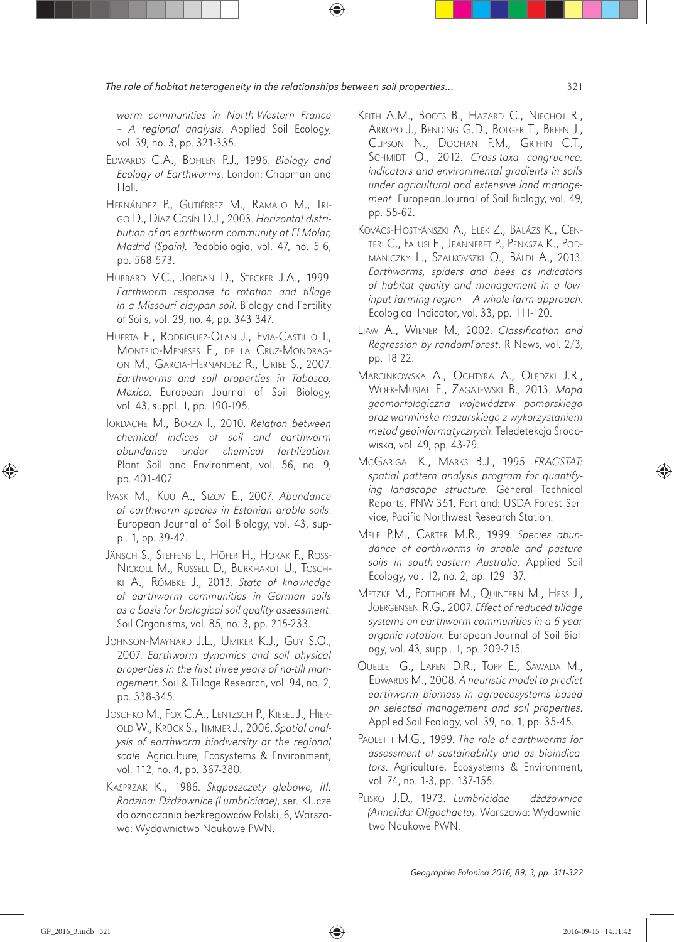*worm communities in North-Western France – A regional analysis.* Applied Soil Ecology, vol. 39, no. 3, pp. 321-335.

- EDWARDS C.A., BOHLEN P.J., 1996. *Biology and Ecology of Earthworms*. London: Chapman and Hall.
- HERNÁNDEZ P., GUTIÉRREZ M., RAMAJO M., TRI-GO D., DÍAZ COSÍN D.J., 2003. *Horizontal distribution of an earthworm community at El Molar, Madrid (Spain)*. Pedobiologia, vol. 47, no. 5-6, pp. 568-573.
- HUBBARD V.C., JORDAN D., STECKER J.A., 1999. *Earthworm response to rotation and tillage in a Missouri claypan soil*. Biology and Fertility of Soils, vol. 29, no. 4, pp. 343-347.
- HUERTA E., RODRIGUEZ-OLAN J., EVIA-CASTILLO I., MONTEJO-MENESES E., DE LA CRUZ-MONDRAG-ON M., GARCIA-HERNANDEZ R., URIBE S., 2007. *Earthworms and soil properties in Tabasco, Mexico*. European Journal of Soil Biology, vol. 43, suppl. 1, pp. 190-195.
- IORDACHE M., BORZA I., 2010. *Relation between chemical indices of soil and earthworm abundance under chemical fertilization*. Plant Soil and Environment, vol. 56, no. 9, pp. 401-407.
- IVASK M., KUU A., SIZOV E., 2007. *Abundance of earthworm species in Estonian arable soils*. European Journal of Soil Biology, vol. 43, suppl. 1, pp. 39-42.
- JÄNSCH S., STEFFENS L., HÖFER H., HORAK F., ROSS-NICKOLL M., RUSSELL D., BURKHARDT U., TOSCH-KI A., RÖMBKE J., 2013. *State of knowledge of earthworm communities in German soils as a basis for biological soil quality assessment*. Soil Organisms, vol. 85, no. 3, pp. 215-233.
- JOHNSON-MAYNARD J.L., UMIKER K.J., GUY S.O., 2007. *Earthworm dynamics and soil physical properties in the first three years of no-till management*. Soil & Tillage Research, vol. 94, no. 2, pp. 338-345.
- JOSCHKO M., FOX C.A., LENTZSCH P., KIESEL J., HIER-OLD W., KRÜCK S., TIMMER J., 2006. *Spatial analysis of earthworm biodiversity at the regional scale*. Agriculture, Ecosystems & Environment, vol. 112, no. 4, pp. 367-380.
- KASPRZAK K., 1986. *Sk*ą*poszczety glebowe, III. Rodzina: D*ż*d*ż*ownice (Lumbricidae)*, ser. Klucze do oznaczania bezkręgowców Polski, 6, Warszawa: Wydawnictwo Naukowe PWN.
- KEITH A.M., BOOTS B., HAZARD C., NIECHOJ R., ARROYO J., BENDING G.D., BOLGER T., BREEN J., CLIPSON N., DOOHAN F.M., GRIFFIN C.T., SCHMIDT O., 2012. *Cross-taxa congruence, indicators and environmental gradients in soils under agricultural and extensive land management*. European Journal of Soil Biology, vol. 49, pp. 55-62.
- KOVÁCS-HOSTYÁNSZKI A., ELEK Z., BALÁZS K., CEN-TERI C., FALUSI E., JEANNERET P., PENKSZA K., POD-MANICZKY L., SZALKOVSZKI O., BÁLDI A., 2013. *Earthworms, spiders and bees as indicators of habitat quality and management in a lowinput farming region – A whole farm approach*. Ecological Indicator, vol. 33, pp. 111-120.
- LIAW A., WIENER M., 2002. *Classification and Regression by randomForest*. R News, vol. 2/3, pp. 18-22.
- MARCINKOWSKA A., OCHTYRA A., OLĘDZKI J.R., WOŁK-MUSIAŁ E., ZAGAJEWSKI B., 2013. *Mapa geomorfologiczna województw pomorskiego oraz warmi*ń*sko-mazurskiego z wykorzystaniem metod geoinformatycznych*. Teledetekcja Środowiska, vol. 49, pp. 43-79.
- MCGARIGAL K., MARKS B.J., 1995. *FRAGSTAT: spatial pattern analysis program for quantifying landscape structure*. General Technical Reports, PNW-351, Portland: USDA Forest Service, Pacific Northwest Research Station.
- MELE P.M., CARTER M.R., 1999. *Species abundance of earthworms in arable and pasture soils in south-eastern Australia*. Applied Soil Ecology, vol. 12, no. 2, pp. 129-137.
- METZKE M., POTTHOFF M., QUINTERN M., HESS J., JOERGENSEN R.G., 2007. *Effect of reduced tillage systems on earthworm communities in a 6-year organic rotation*. European Journal of Soil Biology, vol. 43, suppl. 1, pp. 209-215.
- OUELLET G., LAPEN D.R., TOPP E., SAWADA M., EDWARDS M., 2008. *A heuristic model to predict earthworm biomass in agroecosystems based on selected management and soil properties*. Applied Soil Ecology, vol. 39, no. 1, pp. 35-45.
- PAOLETTI M.G., 1999. *The role of earthworms for assessment of sustainability and as bioindicators*. Agriculture, Ecosystems & Environment, vol. 74, no. 1-3, pp. 137-155.
- PLISKO J.D., 1973. *Lumbricidae d*ż*d*ż*ownice (Annelida: Oligochaeta)*. Warszawa: Wydawnictwo Naukowe PWN.